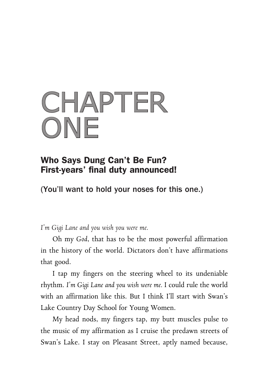# **CHAPTER** one

## Who Says Dung Can't Be Fun? First-years' final duty announced!

(You'll want to hold your noses for this one.)

*I'm Gigi Lane and you wish you were me.*

Oh my *God*, that has to be the most powerful affirmation in the history of the world. Dictators don't have affirmations that good.

I tap my fingers on the steering wheel to its undeniable rhythm. *I'm Gigi Lane and you wish were me.* I could rule the world with an affirmation like this. But I think I'll start with Swan's Lake Country Day School for Young Women.

My head nods, my fingers tap, my butt muscles pulse to the music of my affirmation as I cruise the predawn streets of Swan's Lake. I stay on Pleasant Street, aptly named because,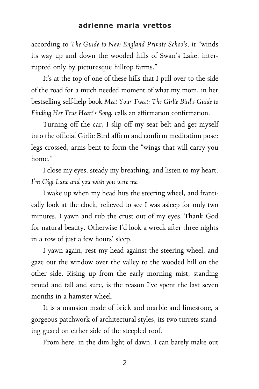according to *The Guide to New England Private Schools*, it "winds its way up and down the wooded hills of Swan's Lake, interrupted only by picturesque hilltop farms."

It's at the top of one of these hills that I pull over to the side of the road for a much needed moment of what my mom, in her bestselling self-help book *Meet Your Tweet: The Girlie Bird's Guide to Finding Her True Heart's Song*, calls an affirmation confirmation.

Turning off the car, I slip off my seat belt and get myself into the official Girlie Bird affirm and confirm meditation pose: legs crossed, arms bent to form the "wings that will carry you home."

I close my eyes, steady my breathing, and listen to my heart. *I'm Gigi Lane and you wish you were me.*

I wake up when my head hits the steering wheel, and frantically look at the clock, relieved to see I was asleep for only two minutes. I yawn and rub the crust out of my eyes. Thank God for natural beauty. Otherwise I'd look a wreck after three nights in a row of just a few hours' sleep.

I yawn again, rest my head against the steering wheel, and gaze out the window over the valley to the wooded hill on the other side. Rising up from the early morning mist, standing proud and tall and sure, is the reason I've spent the last seven months in a hamster wheel.

It is a mansion made of brick and marble and limestone, a gorgeous patchwork of architectural styles, its two turrets standing guard on either side of the steepled roof.

From here, in the dim light of dawn, I can barely make out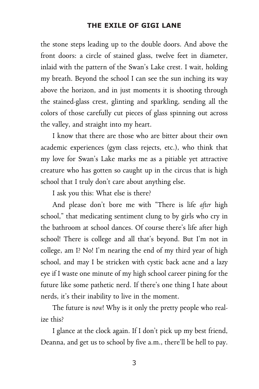the stone steps leading up to the double doors. And above the front doors: a circle of stained glass, twelve feet in diameter, inlaid with the pattern of the Swan's Lake crest. I wait, holding my breath. Beyond the school I can see the sun inching its way above the horizon, and in just moments it is shooting through the stained-glass crest, glinting and sparkling, sending all the colors of those carefully cut pieces of glass spinning out across the valley, and straight into my heart.

I know that there are those who are bitter about their own academic experiences (gym class rejects, etc.), who think that my love for Swan's Lake marks me as a pitiable yet attractive creature who has gotten so caught up in the circus that is high school that I truly don't care about anything else.

I ask you this: What else is there?

And please don't bore me with "There is life *after* high school," that medicating sentiment clung to by girls who cry in the bathroom at school dances. Of course there's life after high school! There is college and all that's beyond. But I'm not in college, am I? No! I'm nearing the end of my third year of high school, and may I be stricken with cystic back acne and a lazy eye if I waste one minute of my high school career pining for the future like some pathetic nerd. If there's one thing I hate about nerds, it's their inability to live in the moment.

The future is *now*! Why is it only the pretty people who realize this?

I glance at the clock again. If I don't pick up my best friend, Deanna, and get us to school by five a.m., there'll be hell to pay.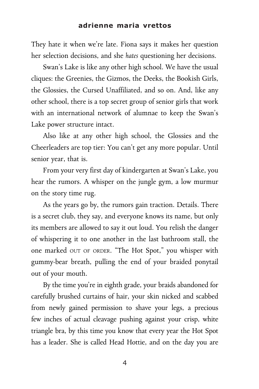They hate it when we're late. Fiona says it makes her question her selection decisions, and she *hates* questioning her decisions.

Swan's Lake is like any other high school. We have the usual cliques: the Greenies, the Gizmos, the Deeks, the Bookish Girls, the Glossies, the Cursed Unaffiliated, and so on. And, like any other school, there is a top secret group of senior girls that work with an international network of alumnae to keep the Swan's Lake power structure intact.

Also like at any other high school, the Glossies and the Cheerleaders are top tier: You can't get any more popular. Until senior year, that is.

From your very first day of kindergarten at Swan's Lake, you hear the rumors. A whisper on the jungle gym, a low murmur on the story time rug.

As the years go by, the rumors gain traction. Details. There is a secret club, they say, and everyone knows its name, but only its members are allowed to say it out loud. You relish the danger of whispering it to one another in the last bathroom stall, the one marked out of order. "The Hot Spot," you whisper with gummy-bear breath, pulling the end of your braided ponytail out of your mouth.

By the time you're in eighth grade, your braids abandoned for carefully brushed curtains of hair, your skin nicked and scabbed from newly gained permission to shave your legs, a precious few inches of actual cleavage pushing against your crisp, white triangle bra, by this time you know that every year the Hot Spot has a leader. She is called Head Hottie, and on the day you are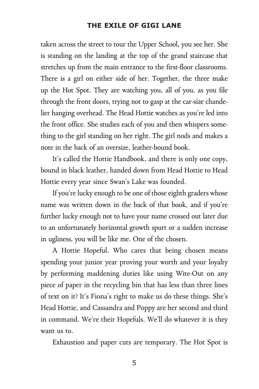taken across the street to tour the Upper School, you see her. She is standing on the landing at the top of the grand staircase that stretches up from the main entrance to the first-floor classrooms. There is a girl on either side of her. Together, the three make up the Hot Spot. They are watching you, all of you, as you file through the front doors, trying not to gasp at the car-size chandelier hanging overhead. The Head Hottie watches as you're led into the front office. She studies each of you and then whispers something to the girl standing on her right. The girl nods and makes a note in the back of an oversize, leather-bound book.

It's called the Hottie Handbook, and there is only one copy, bound in black leather, handed down from Head Hottie to Head Hottie every year since Swan's Lake was founded.

If you're lucky enough to be one of those eighth graders whose name was written down in the back of that book, and if you're further lucky enough not to have your name crossed out later due to an unfortunately horizontal growth spurt or a sudden increase in ugliness, you will be like me. One of the chosen.

A Hottie Hopeful. Who cares that being chosen means spending your junior year proving your worth and your loyalty by performing maddening duties like using Wite-Out on any piece of paper in the recycling bin that has less than three lines of text on it? It's Fiona's right to make us do these things. She's Head Hottie, and Cassandra and Poppy are her second and third in command. We're their Hopefuls. We'll do whatever it is they want us to.

Exhaustion and paper cuts are temporary. The Hot Spot is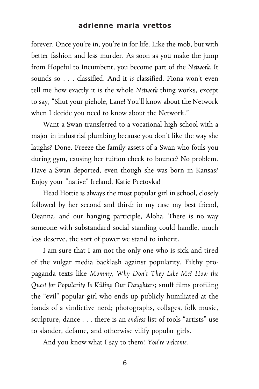forever. Once you're in, you're in for life. Like the mob, but with better fashion and less murder. As soon as you make the jump from Hopeful to Incumbent, you become part of the *Network.* It sounds so . . . classified. And it *is* classified. Fiona won't even tell me how exactly it is the whole *Network* thing works, except to say, "Shut your piehole, Lane! You'll know about the Network when I decide you need to know about the Network."

Want a Swan transferred to a vocational high school with a major in industrial plumbing because you don't like the way she laughs? Done. Freeze the family assets of a Swan who fouls you during gym, causing her tuition check to bounce? No problem. Have a Swan deported, even though she was born in Kansas? Enjoy your "native" Ireland, Katie Pretovka!

Head Hottie is always the most popular girl in school, closely followed by her second and third: in my case my best friend, Deanna, and our hanging participle, Aloha. There is no way someone with substandard social standing could handle, much less deserve, the sort of power we stand to inherit.

I am sure that I am not the only one who is sick and tired of the vulgar media backlash against popularity. Filthy propaganda texts like *Mommy, Why Don't They Like Me? How the Quest for Popularity Is Killing Our Daughters*; snuff films profiling the "evil" popular girl who ends up publicly humiliated at the hands of a vindictive nerd; photographs, collages, folk music, sculpture, dance . . . there is an *endless* list of tools "artists" use to slander, defame, and otherwise vilify popular girls.

And you know what I say to them? *You're welcome.*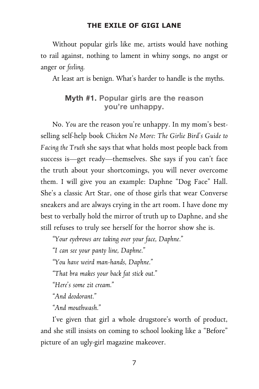Without popular girls like me, artists would have nothing to rail against, nothing to lament in whiny songs, no angst or anger or *feeling.*

At least art is benign. What's harder to handle is the myths.

### **Myth #1. Popular girls are the reason you're unhappy.**

No. *You* are the reason you're unhappy. In my mom's bestselling self-help book *Chicken No More: The Girlie Bird's Guide to Facing the Truth* she says that what holds most people back from success is—get ready—themselves. She says if you can't face the truth about your shortcomings, you will never overcome them. I will give you an example: Daphne "Dog Face" Hall. She's a classic Art Star, one of those girls that wear Converse sneakers and are always crying in the art room. I have done my best to verbally hold the mirror of truth up to Daphne, and she still refuses to truly see herself for the horror show she is.

*"Your eyebrows are taking over your face, Daphne."*

*"I can see your panty line, Daphne."*

*"You have weird man-hands, Daphne."*

*"That bra makes your back fat stick out."*

*"Here's some zit cream."*

*"And deodorant."*

*"And mouthwash."*

I've given that girl a whole drugstore's worth of product, and she still insists on coming to school looking like a "Before" picture of an ugly-girl magazine makeover.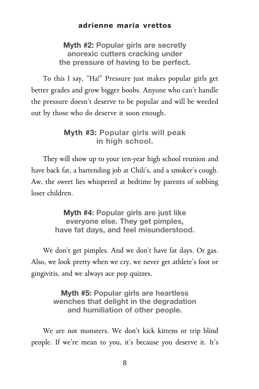**Myth #2: Popular girls are secretly anorexic cutters cracking under the pressure of having to be perfect.**

To this I say, "Ha!" Pressure just makes popular girls get better grades and grow bigger boobs. Anyone who can't handle the pressure doesn't deserve to be popular and will be weeded out by those who do deserve it soon enough.

> **Myth #3: Popular girls will peak in high school.**

They will show up to your ten-year high school reunion and have back fat, a bartending job at Chili's, and a smoker's cough. Aw, the sweet lies whispered at bedtime by parents of sobbing loser children.

> **Myth #4: Popular girls are just like everyone else. They get pimples, have fat days, and feel misunderstood.**

We don't get pimples. And we don't have fat days. Or gas. Also, we look pretty when we cry, we never get athlete's foot or gingivitis, and we always ace pop quizzes.

> **Myth #5: Popular girls are heartless wenches that delight in the degradation and humiliation of other people.**

We are not monsters. We don't kick kittens or trip blind people. If we're mean to you, it's because you deserve it. It's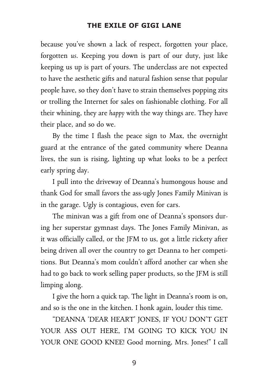because you've shown a lack of respect, forgotten your place, forgotten *us*. Keeping you down is part of our duty, just like keeping us up is part of yours. The underclass are not expected to have the aesthetic gifts and natural fashion sense that popular people have, so they don't have to strain themselves popping zits or trolling the Internet for sales on fashionable clothing. For all their whining, they are *happy* with the way things are. They have their place, and so do we.

By the time I flash the peace sign to Max, the overnight guard at the entrance of the gated community where Deanna lives, the sun is rising, lighting up what looks to be a perfect early spring day.

I pull into the driveway of Deanna's humongous house and thank God for small favors the ass-ugly Jones Family Minivan is in the garage. Ugly is contagious, even for cars.

The minivan was a gift from one of Deanna's sponsors during her superstar gymnast days. The Jones Family Minivan, as it was officially called, or the JFM to us, got a little rickety after being driven all over the country to get Deanna to her competitions. But Deanna's mom couldn't afford another car when she had to go back to work selling paper products, so the JFM is still limping along.

I give the horn a quick tap. The light in Deanna's room is on, and so is the one in the kitchen. I honk again, louder this time.

"DEANNA 'DEAR HEART' JONES, IF YOU DON'T GET YOUR ASS OUT HERE, I'M GOING TO KICK YOU IN YOUR ONE GOOD KNEE! Good morning, Mrs. Jones!" I call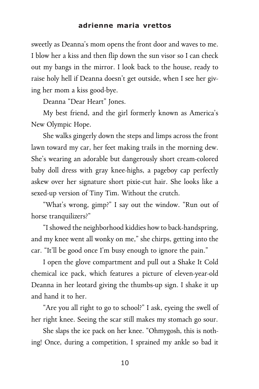sweetly as Deanna's mom opens the front door and waves to me. I blow her a kiss and then flip down the sun visor so I can check out my bangs in the mirror. I look back to the house, ready to raise holy hell if Deanna doesn't get outside, when I see her giving her mom a kiss good-bye.

Deanna "Dear Heart" Jones.

My best friend, and the girl formerly known as America's New Olympic Hope.

She walks gingerly down the steps and limps across the front lawn toward my car, her feet making trails in the morning dew. She's wearing an adorable but dangerously short cream-colored baby doll dress with gray knee-highs, a pageboy cap perfectly askew over her signature short pixie-cut hair. She looks like a sexed-up version of Tiny Tim. Without the crutch.

"What's wrong, gimp?" I say out the window. "Run out of horse tranquilizers?"

"I showed the neighborhood kiddies how to back-handspring, and my knee went all wonky on me," she chirps, getting into the car. "It'll be good once I'm busy enough to ignore the pain."

I open the glove compartment and pull out a Shake It Cold chemical ice pack, which features a picture of eleven-year-old Deanna in her leotard giving the thumbs-up sign. I shake it up and hand it to her.

"Are you all right to go to school?" I ask, eyeing the swell of her right knee. Seeing the scar still makes my stomach go sour.

She slaps the ice pack on her knee. "Ohmygosh, this is nothing! Once, during a competition, I sprained my ankle so bad it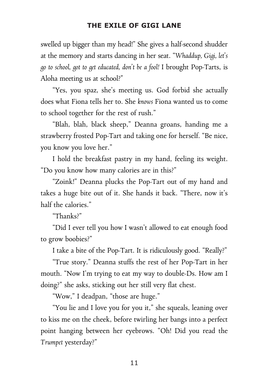swelled up bigger than my head!" She gives a half-second shudder at the memory and starts dancing in her seat. "*Whaddup, Gigi, let's go to school, got to get educated, don't be a fool!* I brought Pop-Tarts, is Aloha meeting us at school?*"*

"Yes, you spaz, she's meeting us. God forbid she actually does what Fiona tells her to. She *knows* Fiona wanted us to come to school together for the rest of rush."

"Blah, blah, black sheep," Deanna groans, handing me a strawberry frosted Pop-Tart and taking one for herself. "Be nice, you know you love her."

I hold the breakfast pastry in my hand, feeling its weight. "Do you know how many calories are in this?"

"Zoink!" Deanna plucks the Pop-Tart out of my hand and takes a huge bite out of it. She hands it back. "There, now it's half the calories."

"Thanks?"

"Did I ever tell you how I wasn't allowed to eat enough food to grow boobies?"

I take a bite of the Pop-Tart. It is ridiculously good. "Really?"

"True story." Deanna stuffs the rest of her Pop-Tart in her mouth. "Now I'm trying to eat my way to double-Ds. How am I doing?" she asks, sticking out her still very flat chest.

"Wow," I deadpan, "those are huge."

"You lie and I love you for you it," she squeals, leaning over to kiss me on the cheek, before twirling her bangs into a perfect point hanging between her eyebrows. "Oh! Did you read the *Trumpet* yesterday?"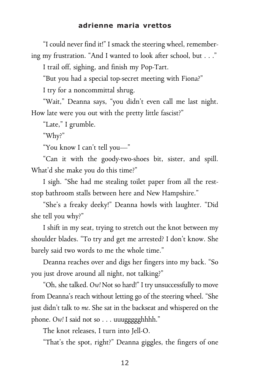"I could never find it!" I smack the steering wheel, remembering my frustration. "And I wanted to look after school, but . . ."

I trail off, sighing, and finish my Pop-Tart.

"But you had a special top-secret meeting with Fiona?"

I try for a noncommittal shrug.

"Wait," Deanna says, "you didn't even call me last night. How late were you out with the pretty little fascist?"

"Late," I grumble.

"Why?"

"You know I can't tell you—"

"Can it with the goody-two-shoes bit, sister, and spill. What'd she make you do this time?"

I sigh. "She had me stealing toilet paper from all the reststop bathroom stalls between here and New Hampshire."

"She's a freaky deeky!" Deanna howls with laughter. "Did she tell you why?"

I shift in my seat, trying to stretch out the knot between my shoulder blades. "To try and get me arrested? I don't know. She barely said two words to me the whole time."

Deanna reaches over and digs her fingers into my back. "So you just drove around all night, not talking?"

"Oh, she talked. *Ow!* Not so hard!" I try unsuccessfully to move from Deanna's reach without letting go of the steering wheel. "She just didn't talk to *me*. She sat in the backseat and whispered on the phone. *Ow!* I said not so . . . uuuggggghhhh."

The knot releases, I turn into Jell-O.

"That's the spot, right?" Deanna giggles, the fingers of one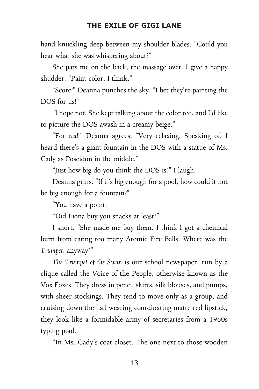hand knuckling deep between my shoulder blades. "Could you hear what she was whispering about?"

She pats me on the back, the massage over. I give a happy shudder. "Paint color, I think."

"Score!" Deanna punches the sky. "I bet they're painting the DOS for us!"

"I hope not. She kept talking about the color red, and I'd like to picture the DOS awash in a creamy beige."

"For *real*!" Deanna agrees. "Very relaxing. Speaking of, I heard there's a giant fountain in the DOS with a statue of Ms. Cady as Poseidon in the middle."

"Just how big do you think the DOS is?" I laugh.

Deanna grins. "If it's big enough for a pool, how could it not be big enough for a fountain?"

"You have a point."

"Did Fiona buy you snacks at least?"

I snort. "She made me buy them. I think I got a chemical burn from eating too many Atomic Fire Balls. Where was the *Trumpet*, anyway?"

*The Trumpet of the Swan* is our school newspaper, run by a clique called the Voice of the People, otherwise known as the Vox Foxes. They dress in pencil skirts, silk blouses, and pumps, with sheer stockings. They tend to move only as a group, and cruising down the hall wearing coordinating matte red lipstick, they look like a formidable army of secretaries from a 1960s typing pool.

"In Ms. Cady's coat closet. The one next to those wooden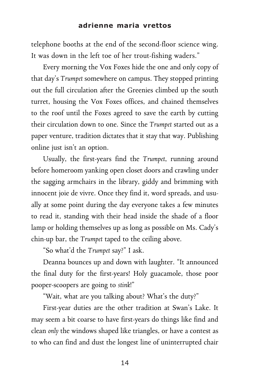telephone booths at the end of the second-floor science wing. It was down in the left toe of her trout-fishing waders."

Every morning the Vox Foxes hide the one and only copy of that day's *Trumpet* somewhere on campus. They stopped printing out the full circulation after the Greenies climbed up the south turret, housing the Vox Foxes offices, and chained themselves to the roof until the Foxes agreed to save the earth by cutting their circulation down to one. Since the *Trumpet* started out as a paper venture, tradition dictates that it stay that way. Publishing online just isn't an option.

Usually, the first-years find the *Trumpet*, running around before homeroom yanking open closet doors and crawling under the sagging armchairs in the library, giddy and brimming with innocent joie de vivre. Once they find it, word spreads, and usually at some point during the day everyone takes a few minutes to read it, standing with their head inside the shade of a floor lamp or holding themselves up as long as possible on Ms. Cady's chin-up bar, the *Trumpet* taped to the ceiling above.

"So what'd the *Trumpet* say?" I ask.

Deanna bounces up and down with laughter. "It announced the final duty for the first-years! Holy guacamole, those poor pooper-scoopers are going to *stink*!"

"Wait, what are you talking about? What's the duty?"

First-year duties are the other tradition at Swan's Lake. It may seem a bit coarse to have first-years do things like find and clean *only* the windows shaped like triangles, or have a contest as to who can find and dust the longest line of uninterrupted chair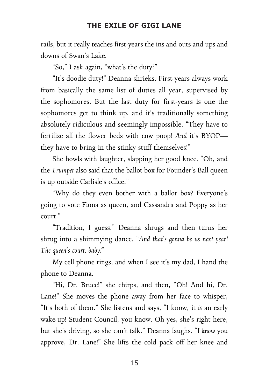rails, but it really teaches first-years the ins and outs and ups and downs of Swan's Lake.

"So," I ask again, "what's the duty?"

"It's doodie duty!" Deanna shrieks. First-years always work from basically the same list of duties all year, supervised by the sophomores. But the last duty for first-years is one the sophomores get to think up, and it's traditionally something absolutely ridiculous and seemingly impossible. "They have to fertilize all the flower beds with cow poop! *And* it's BYOP they have to bring in the stinky stuff themselves!"

She howls with laughter, slapping her good knee. "Oh, and the *Trumpet* also said that the ballot box for Founder's Ball queen is up outside Carlisle's office."

"Why do they even bother with a ballot box? Everyone's going to vote Fiona as queen, and Cassandra and Poppy as her court."

"Tradition, I guess." Deanna shrugs and then turns her shrug into a shimmying dance. "*And that's gonna be us next year! The queen's court, baby!"*

My cell phone rings, and when I see it's my dad, I hand the phone to Deanna.

"Hi, Dr. Bruce!" she chirps, and then, "Oh! And hi, Dr. Lane!" She moves the phone away from her face to whisper, "It's both of them." She listens and says, "I know, it *is* an early wake-up! Student Council, you know. Oh yes, she's right here, but she's driving, so she can't talk." Deanna laughs. "I *know* you approve, Dr. Lane!" She lifts the cold pack off her knee and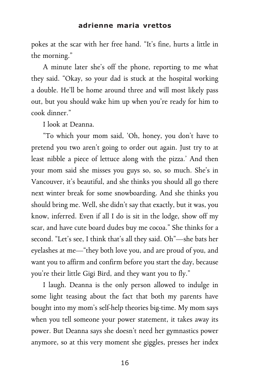pokes at the scar with her free hand. "It's fine, hurts a little in the morning."

A minute later she's off the phone, reporting to me what they said. "Okay, so your dad is stuck at the hospital working a double. He'll be home around three and will most likely pass out, but you should wake him up when you're ready for him to cook dinner."

I look at Deanna.

"To which your mom said, 'Oh, honey, you don't have to pretend you two aren't going to order out again. Just try to at least nibble a piece of lettuce along with the pizza.' And then your mom said she misses you guys so, so, so much. She's in Vancouver, it's beautiful, and she thinks you should all go there next winter break for some snowboarding. And she thinks you should bring me. Well, she didn't say that exactly, but it was, you know, inferred. Even if all I do is sit in the lodge, show off my scar, and have cute board dudes buy me cocoa." She thinks for a second. "Let's see, I think that's all they said. Oh"—she bats her eyelashes at me—"they both love you, and are proud of you, and want you to affirm and confirm before you start the day, because you're their little Gigi Bird, and they want you to fly."

I laugh. Deanna is the only person allowed to indulge in some light teasing about the fact that both my parents have bought into my mom's self-help theories big-time. My mom says when you tell someone your power statement, it takes away its power. But Deanna says she doesn't need her gymnastics power anymore, so at this very moment she giggles, presses her index